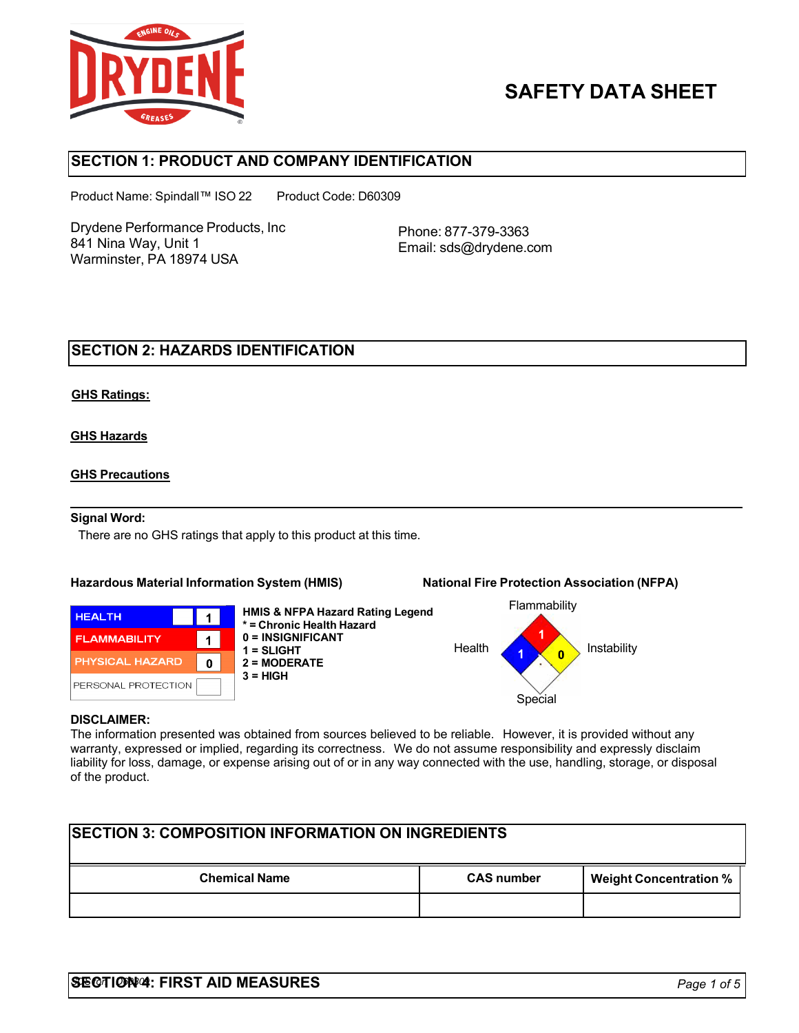

# **SAFETY DATA SHEET**

## **SECTION 1: PRODUCT AND COMPANY IDENTIFICATION**

Product Name: Spindall™ ISO 22 Product Code: D60309

Drydene Performance Products, Inc 841 Nina Way, Unit 1 Warminster, PA 18974 USA

Phone: 877-379-3363 Email: [sds@drydene.com](mailto:sds@drydene.com)

## **SECTION 2: HAZARDS IDENTIFICATION**

### **GHS Ratings:**

### **GHS Hazards**

#### **GHS Precautions**

#### **Signal Word:**

There are no GHS ratings that apply to this product at this time.

#### **Hazardous Material Information System (HMIS) National Fire Protection Association (NFPA)**



**HMIS & NFPA Hazard Rating Legend \* = Chronic Health Hazard 0 = INSIGNIFICANT 1 = SLIGHT 2 = MODERATE 3 = HIGH**



### **DISCLAIMER:**

The information presented was obtained from sources believed to be reliable. However, it is provided without any warranty, expressed or implied, regarding its correctness. We do not assume responsibility and expressly disclaim liability for loss, damage, or expense arising out of or in any way connected with the use, handling, storage, or disposal of the product.

| <b>ISECTION 3: COMPOSITION INFORMATION ON INGREDIENTS</b> |                   |                               |  |
|-----------------------------------------------------------|-------------------|-------------------------------|--|
| <b>Chemical Name</b>                                      | <b>CAS number</b> | <b>Weight Concentration %</b> |  |
|                                                           |                   |                               |  |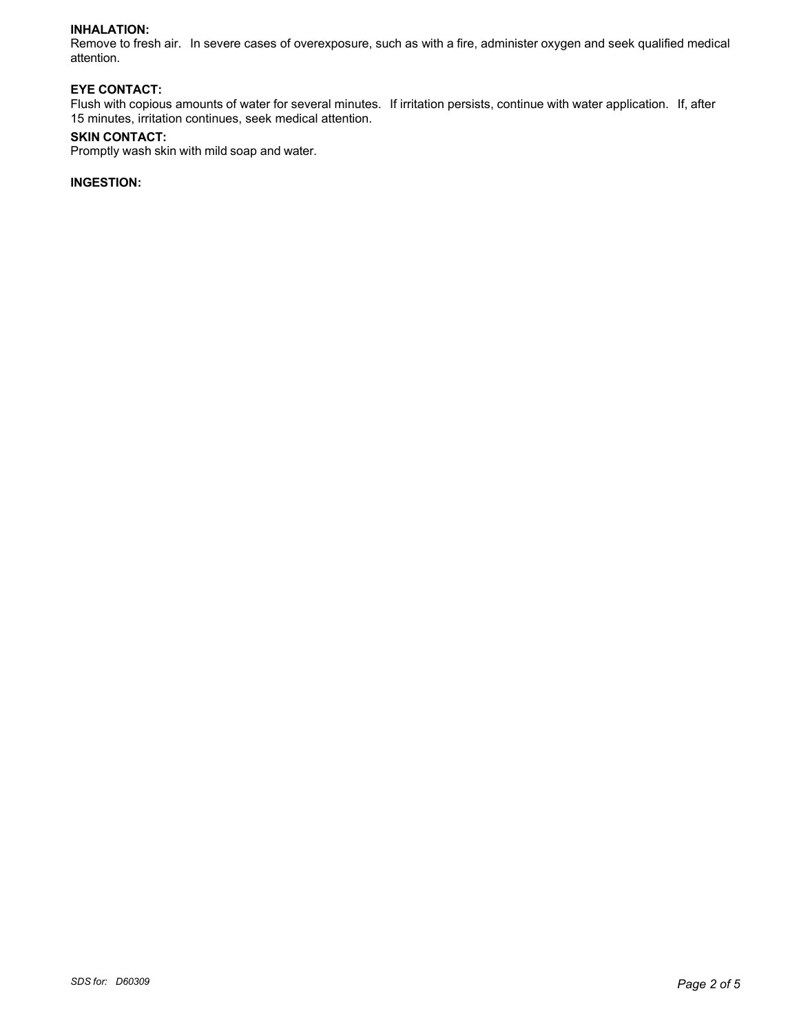#### **INHALATION:**

Remove to fresh air. In severe cases of overexposure, such as with a fire, administer oxygen and seek qualified medical attention.

### **EYE CONTACT:**

Flush with copious amounts of water for several minutes. If irritation persists, continue with water application. If, after 15 minutes, irritation continues, seek medical attention.

#### **SKIN CONTACT:**

Promptly wash skin with mild soap and water.

#### **INGESTION:**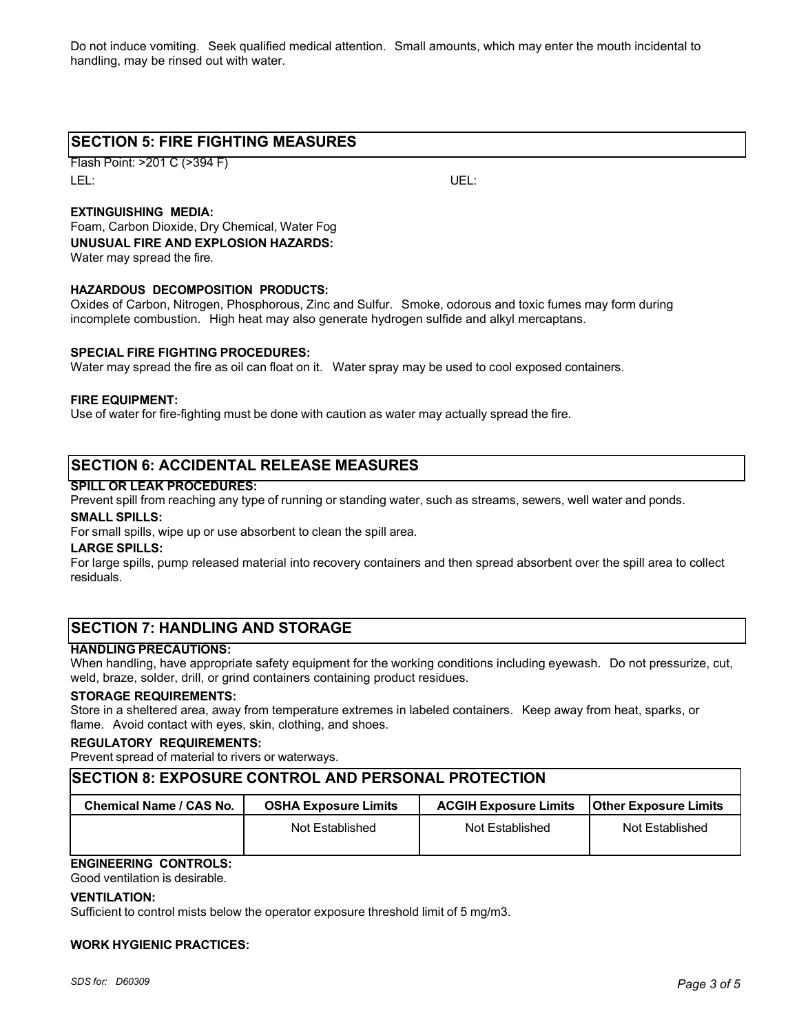Do not induce vomiting. Seek qualified medical attention. Small amounts, which may enter the mouth incidental to handling, may be rinsed out with water.

## **SECTION 5: FIRE FIGHTING MEASURES**

Flash Point: >201 C (>394 F) LEL: UEL:

### **EXTINGUISHING MEDIA:**

Foam, Carbon Dioxide, Dry Chemical, Water Fog **UNUSUAL FIRE AND EXPLOSION HAZARDS:** Water may spread the fire.

#### **HAZARDOUS DECOMPOSITION PRODUCTS:**

Oxides of Carbon, Nitrogen, Phosphorous, Zinc and Sulfur. Smoke, odorous and toxic fumes may form during incomplete combustion. High heat may also generate hydrogen sulfide and alkyl mercaptans.

#### **SPECIAL FIRE FIGHTING PROCEDURES:**

Water may spread the fire as oil can float on it. Water spray may be used to cool exposed containers.

#### **FIRE EQUIPMENT:**

Use of water for fire-fighting must be done with caution as water may actually spread the fire.

## **SECTION 6: ACCIDENTAL RELEASE MEASURES**

#### **SPILL OR LEAK PROCEDURES:**

Prevent spill from reaching any type of running or standing water, such as streams, sewers, well water and ponds.

#### **SMALL SPILLS:**

For small spills, wipe up or use absorbent to clean the spill area.

#### **LARGE SPILLS:**

For large spills, pump released material into recovery containers and then spread absorbent over the spill area to collect residuals.

## **SECTION 7: HANDLING AND STORAGE**

#### **HANDLING PRECAUTIONS:**

When handling, have appropriate safety equipment for the working conditions including eyewash. Do not pressurize, cut, weld, braze, solder, drill, or grind containers containing product residues.

#### **STORAGE REQUIREMENTS:**

Store in a sheltered area, away from temperature extremes in labeled containers. Keep away from heat, sparks, or flame. Avoid contact with eyes, skin, clothing, and shoes.

#### **REGULATORY REQUIREMENTS:**

Prevent spread of material to rivers or waterways.

### **SECTION 8: EXPOSURE CONTROL AND PERSONAL PROTECTION**

| Chemical Name / CAS No. | <b>OSHA Exposure Limits</b> | <b>ACGIH Exposure Limits</b> | <b>IOther Exposure Limits</b> |
|-------------------------|-----------------------------|------------------------------|-------------------------------|
|                         | Not Established             | Not Established              | Not Established               |

## **ENGINEERING CONTROLS:**

Good ventilation is desirable.

#### **VENTILATION:**

Sufficient to control mists below the operator exposure threshold limit of 5 mg/m3.

#### **WORK HYGIENIC PRACTICES:**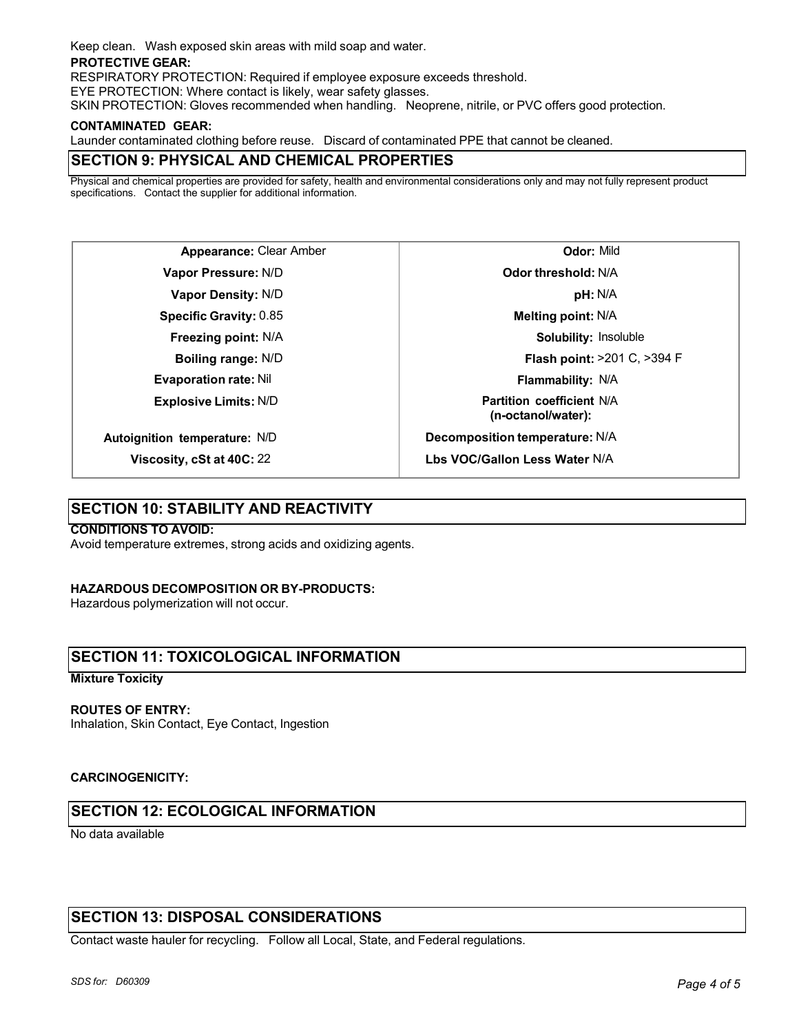Keep clean. Wash exposed skin areas with mild soap and water.

#### **PROTECTIVE GEAR:**

RESPIRATORY PROTECTION: Required if employee exposure exceeds threshold.

EYE PROTECTION: Where contact is likely, wear safety glasses.

SKIN PROTECTION: Gloves recommended when handling. Neoprene, nitrile, or PVC offers good protection.

#### **CONTAMINATED GEAR:**

Launder contaminated clothing before reuse. Discard of contaminated PPE that cannot be cleaned.

## **SECTION 9: PHYSICAL AND CHEMICAL PROPERTIES**

Physical and chemical properties are provided for safety, health and environmental considerations only and may not fully represent product specifications. Contact the supplier for additional information.

**Appearance:** Clear Amber **Vapor Pressure:** N/D **Vapor Density:** N/D **Specific Gravity:** 0.85 **Freezing point:** N/A **Boiling range:** N/D **Evaporation rate:** Nil **Explosive Limits:** N/D **Autoignition temperature:** N/D

**Odor:** Mild **Odor threshold:** N/A **pH:** N/A **Melting point:** N/A **Solubility:** Insoluble **Flash point:** >201 C, >394 F **Flammability:** N/A **Partition coefficient** N/A **(n-octanol/water): Decomposition temperature:** N/A **Lbs VOC/Gallon Less Water** N/A

## **SECTION 10: STABILITY AND REACTIVITY**

**Viscosity, cSt at 40C:** 22

### **CONDITIONS TO AVOID:**

Avoid temperature extremes, strong acids and oxidizing agents.

### **HAZARDOUS DECOMPOSITION OR BY-PRODUCTS:**

Hazardous polymerization will not occur.

## **SECTION 11: TOXICOLOGICAL INFORMATION**

### **Mixture Toxicity**

### **ROUTES OF ENTRY:**

Inhalation, Skin Contact, Eye Contact, Ingestion

### **CARCINOGENICITY:**

## **SECTION 12: ECOLOGICAL INFORMATION**

No data available

## **SECTION 13: DISPOSAL CONSIDERATIONS**

Contact waste hauler for recycling. Follow all Local, State, and Federal regulations.